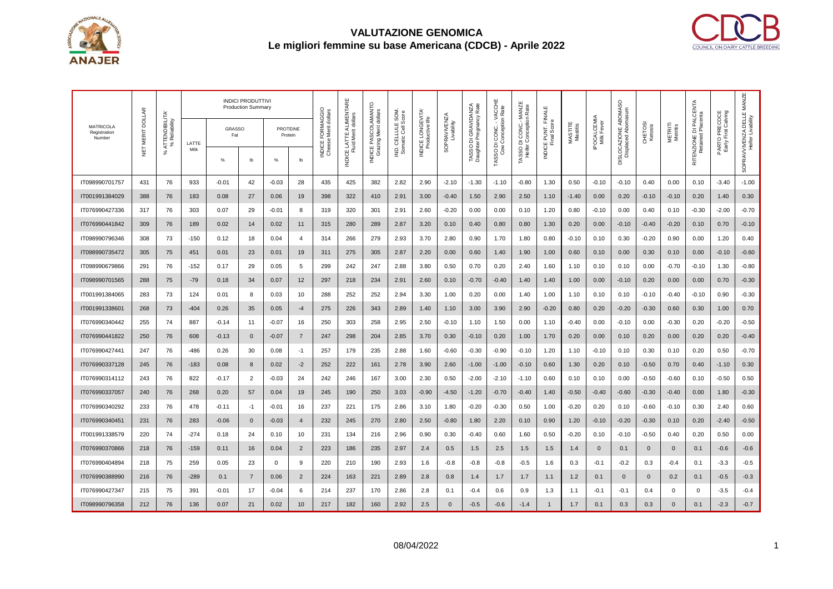



| <b>MATRICOLA</b><br>Registration<br>Number | <b>DOLLAR</b><br>NET MERIT | ATTENDIBILITA'<br>% Reliability<br>ಸಿ |               | <b>INDICI PRODUTTIVI</b><br><b>Production Summary</b> |                |                            |                  | dollars                      | ш                                              |                                                        |                                           |                                     |                                   |                                                                  |                                                |                                                                  |                     |                     |                                  |                                            |                    |                     |                                             |                                      |                                                |
|--------------------------------------------|----------------------------|---------------------------------------|---------------|-------------------------------------------------------|----------------|----------------------------|------------------|------------------------------|------------------------------------------------|--------------------------------------------------------|-------------------------------------------|-------------------------------------|-----------------------------------|------------------------------------------------------------------|------------------------------------------------|------------------------------------------------------------------|---------------------|---------------------|----------------------------------|--------------------------------------------|--------------------|---------------------|---------------------------------------------|--------------------------------------|------------------------------------------------|
|                                            |                            |                                       | LATTE<br>Milk | GRASSO<br>Fat                                         |                | <b>PROTEINE</b><br>Protein |                  | FORMAGGIO<br>Merit<br>Cheese | INDICE LATTE ALIMENTARI<br>Fluid Merit dollars | INDICE PASCOLAMANTO<br>Grazing Merit dollars<br>razing | IND. CELLULE SOM<br>Cell Score<br>Somatic | INDICE LONGEVITA<br>Productive life | <b>SOPRAVIVENZA</b><br>Livability | Daughter Pregnancy Rate<br>GRAVIDANZA<br>$\overline{\mathsf{d}}$ | TASSO DI CONC. - VACCHE<br>Cow Conception Rate | CONC .- MANZE<br>TASSO DI CONC.- MANZI<br>Heifer Conception Rate | INDICE PUNT. FINALE | MASTITE<br>Mastitis | <b>IPOCALCEMIA</b><br>Milk Fever | DISLOCAZIONE ABOMASO<br>Displaced Abomasum | CHETOSI<br>Ketosis | METRITI<br>Metritis | RITENZIONE DI PALCENTA<br>Retained Placenta | PARTO PRECOCE<br>Early First Calving | SOPRAVVIVENZA DELLE MANZE<br>Heifer Livability |
|                                            |                            |                                       |               | %                                                     | $\mathsf{lb}$  | %                          | lb               | INDICE I                     |                                                |                                                        |                                           |                                     |                                   | <b>TASSOI</b>                                                    |                                                |                                                                  |                     |                     |                                  |                                            |                    |                     |                                             |                                      |                                                |
| IT098990701757                             | 431                        | 76                                    | 933           | $-0.01$                                               | 42             | $-0.03$                    | 28               | 435                          | 425                                            | 382                                                    | 2.82                                      | 2.90                                | $-2.10$                           | $-1.30$                                                          | $-1.10$                                        | $-0.80$                                                          | 1.30                | 0.50                | $-0.10$                          | $-0.10$                                    | 0.40               | 0.00                | 0.10                                        | $-3.40$                              | $-1.00$                                        |
| IT001991384029                             | 388                        | 76                                    | 183           | 0.08                                                  | 27             | 0.06                       | 19               | 398                          | 322                                            | 410                                                    | 2.91                                      | 3.00                                | $-0.40$                           | 1.50                                                             | 2.90                                           | 2.50                                                             | 1.10                | $-1.40$             | 0.00                             | 0.20                                       | $-0.10$            | $-0.10$             | 0.20                                        | 1.40                                 | 0.30                                           |
| IT076990427336                             | 317                        | 76                                    | 303           | 0.07                                                  | 29             | $-0.01$                    | 8                | 319                          | 320                                            | 301                                                    | 2.91                                      | 2.60                                | $-0.20$                           | 0.00                                                             | 0.00                                           | 0.10                                                             | 1.20                | 0.80                | $-0.10$                          | 0.00                                       | 0.40               | 0.10                | $-0.30$                                     | $-2.00$                              | $-0.70$                                        |
| IT076990441842                             | 309                        | 76                                    | 189           | 0.02                                                  | 14             | 0.02                       | 11               | 315                          | 280                                            | 289                                                    | 2.87                                      | 3.20                                | 0.10                              | 0.40                                                             | 0.80                                           | 0.80                                                             | 1.30                | 0.20                | 0.00                             | $-0.10$                                    | $-0.40$            | $-0.20$             | 0.10                                        | 0.70                                 | $-0.10$                                        |
| IT098990796346                             | 308                        | 73                                    | $-150$        | 0.12                                                  | 18             | 0.04                       | $\overline{4}$   | 314                          | 266                                            | 279                                                    | 2.93                                      | 3.70                                | 2.80                              | 0.90                                                             | 1.70                                           | 1.80                                                             | 0.80                | $-0.10$             | 0.10                             | 0.30                                       | -0.20              | 0.90                | 0.00                                        | 1.20                                 | 0.40                                           |
| IT098990735472                             | 305                        | 75                                    | 451           | 0.01                                                  | 23             | 0.01                       | 19               | 311                          | 275                                            | 305                                                    | 2.87                                      | 2.20                                | 0.00                              | 0.60                                                             | 1.40                                           | 1.90                                                             | 1.00                | 0.60                | 0.10                             | 0.00                                       | 0.30               | 0.10                | 0.00                                        | $-0.10$                              | $-0.60$                                        |
| IT098990679866                             | 291                        | 76                                    | $-152$        | 0.17                                                  | 29             | 0.05                       | 5                | 299                          | 242                                            | 247                                                    | 2.88                                      | 3.80                                | 0.50                              | 0.70                                                             | 0.20                                           | 2.40                                                             | 1.60                | 1.10                | 0.10                             | 0.10                                       | 0.00               | $-0.70$             | $-0.10$                                     | 1.30                                 | $-0.80$                                        |
| IT098990701565                             | 288                        | 75                                    | $-79$         | 0.18                                                  | 34             | 0.07                       | 12               | 297                          | 218                                            | 234                                                    | 2.91                                      | 2.60                                | 0.10                              | $-0.70$                                                          | $-0.40$                                        | 1.40                                                             | 1.40                | 1.00                | 0.00                             | $-0.10$                                    | 0.20               | 0.00                | 0.00                                        | 0.70                                 | $-0.30$                                        |
| IT001991384065                             | 283                        | 73                                    | 124           | 0.01                                                  | 8              | 0.03                       | 10               | 288                          | 252                                            | 252                                                    | 2.94                                      | 3.30                                | 1.00                              | 0.20                                                             | 0.00                                           | 1.40                                                             | 1.00                | 1.10                | 0.10                             | 0.10                                       | $-0.10$            | $-0.40$             | $-0.10$                                     | 0.90                                 | $-0.30$                                        |
| IT001991338601                             | 268                        | 73                                    | -404          | 0.26                                                  | 35             | 0.05                       | $-4$             | 275                          | 226                                            | 343                                                    | 2.89                                      | 1.40                                | 1.10                              | 3.00                                                             | 3.90                                           | 2.90                                                             | $-0.20$             | 0.80                | 0.20                             | $-0.20$                                    | $-0.30$            | 0.60                | 0.30                                        | 1.00                                 | 0.70                                           |
| IT076990340442                             | 255                        | 74                                    | 887           | $-0.14$                                               | 11             | -0.07                      | 16               | 250                          | 303                                            | 258                                                    | 2.95                                      | 2.50                                | $-0.10$                           | 1.10                                                             | 1.50                                           | 0.00                                                             | 1.10                | $-0.40$             | 0.00                             | $-0.10$                                    | 0.00               | $-0.30$             | 0.20                                        | $-0.20$                              | $-0.50$                                        |
| IT076990441822                             | 250                        | 76                                    | 608           | $-0.13$                                               | $\mathbf 0$    | -0.07                      | $\overline{7}$   | 247                          | 298                                            | 204                                                    | 2.85                                      | 3.70                                | 0.30                              | $-0.10$                                                          | 0.20                                           | 1.00                                                             | 1.70                | 0.20                | 0.00                             | 0.10                                       | 0.20               | 0.00                | 0.20                                        | 0.20                                 | $-0.40$                                        |
| IT076990427441                             | 247                        | 76                                    | $-486$        | 0.26                                                  | 30             | 0.08                       | $-1$             | 257                          | 179                                            | 235                                                    | 2.88                                      | 1.60                                | $-0.60$                           | $-0.30$                                                          | $-0.90$                                        | $-0.10$                                                          | 1.20                | 1.10                | $-0.10$                          | 0.10                                       | 0.30               | 0.10                | 0.20                                        | 0.50                                 | $-0.70$                                        |
| IT076990337128                             | 245                        | 76                                    | $-183$        | 0.08                                                  | 8              | 0.02                       | $-2$             | 252                          | 222                                            | 161                                                    | 2.78                                      | 3.90                                | 2.60                              | $-1.00$                                                          | $-1.00$                                        | $-0.10$                                                          | 0.60                | 1.30                | 0.20                             | 0.10                                       | $-0.50$            | 0.70                | 0.40                                        | $-1.10$                              | 0.30                                           |
| IT076990314112                             | 243                        | 76                                    | 822           | $-0.17$                                               | $\overline{2}$ | -0.03                      | 24               | 242                          | 246                                            | 167                                                    | 3.00                                      | 2.30                                | 0.50                              | $-2.00$                                                          | $-2.10$                                        | $-1.10$                                                          | 0.60                | 0.10                | 0.10                             | 0.00                                       | $-0.50$            | $-0.60$             | 0.10                                        | $-0.50$                              | 0.50                                           |
| IT076990337057                             | 240                        | 76                                    | 268           | 0.20                                                  | 57             | 0.04                       | 19               | 245                          | 190                                            | 250                                                    | 3.03                                      | $-0.90$                             | $-4.50$                           | $-1.20$                                                          | $-0.70$                                        | -0.40                                                            | 1.40                | $-0.50$             | $-0.40$                          | -0.60                                      | $-0.30$            | $-0.40$             | 0.00                                        | 1.80                                 | $-0.30$                                        |
| IT076990340292                             | 233                        | 76                                    | 478           | $-0.11$                                               | $-1$           | -0.01                      | 16               | 237                          | 221                                            | 175                                                    | 2.86                                      | 3.10                                | 1.80                              | $-0.20$                                                          | $-0.30$                                        | 0.50                                                             | 1.00                | $-0.20$             | 0.20                             | 0.10                                       | -0.60              | $-0.10$             | 0.30                                        | 2.40                                 | 0.60                                           |
| IT076990340451                             | 231                        | 76                                    | 283           | $-0.06$                                               | $\mathbf 0$    | $-0.03$                    | $\overline{4}$   | 232                          | 245                                            | 270                                                    | 2.80                                      | 2.50                                | $-0.80$                           | 1.80                                                             | 2.20                                           | 0.10                                                             | 0.90                | 1.20                | $-0.10$                          | $-0.20$                                    | $-0.30$            | 0.10                | 0.20                                        | $-2.40$                              | $-0.50$                                        |
| IT001991338579                             | 220                        | 74                                    | $-274$        | 0.18                                                  | 24             | 0.10                       | 10               | 231                          | 134                                            | 216                                                    | 2.96                                      | 0.90                                | 0.30                              | $-0.40$                                                          | 0.60                                           | 1.60                                                             | 0.50                | $-0.20$             | 0.10                             | $-0.10$                                    | $-0.50$            | 0.40                | 0.20                                        | 0.50                                 | 0.00                                           |
| IT076990370866                             | 218                        | 76                                    | $-159$        | 0.11                                                  | 16             | 0.04                       | $\overline{2}$   | 223                          | 186                                            | 235                                                    | 2.97                                      | 2.4                                 | 0.5                               | 1.5                                                              | 2.5                                            | 1.5                                                              | 1.5                 | 1.4                 | $\mathbf{0}$                     | 0.1                                        | $\mathbf 0$        | $\mathbf{0}$        | 0.1                                         | $-0.6$                               | $-0.6$                                         |
| IT076990404894                             | 218                        | 75                                    | 259           | 0.05                                                  | 23             | 0                          | 9                | 220                          | 210                                            | 190                                                    | 2.93                                      | 1.6                                 | -0.8                              | $-0.8$                                                           | $-0.8$                                         | $-0.5$                                                           | 1.6                 | 0.3                 | $-0.1$                           | -0.2                                       | 0.3                | $-0.4$              | 0.1                                         | $-3.3$                               | $-0.5$                                         |
| IT076990388990                             | 216                        | 76                                    | $-289$        | 0.1                                                   | $\overline{7}$ | 0.06                       | $\overline{2}$   | 224                          | 163                                            | 221                                                    | 2.89                                      | 2.8                                 | 0.8                               | 1.4                                                              | 1.7                                            | 1.7                                                              | 1.1                 | 1.2                 | 0.1                              | $\mathbf{0}$                               | $\mathbf 0$        | 0.2                 | 0.1                                         | $-0.5$                               | $-0.3$                                         |
| IT076990427347                             | 215                        | 75                                    | 391           | $-0.01$                                               | 17             | $-0.04$                    | 6                | 214                          | 237                                            | 170                                                    | 2.86                                      | 2.8                                 | 0.1                               | $-0.4$                                                           | 0.6                                            | 0.9                                                              | 1.3                 | 1.1                 | $-0.1$                           | $-0.1$                                     | 0.4                | 0                   | 0                                           | $-3.5$                               | $-0.4$                                         |
| IT098990796358                             | 212                        | 76                                    | 136           | 0.07                                                  | 21             | 0.02                       | 10 <sup>10</sup> | 217                          | 182                                            | 160                                                    | 2.92                                      | 2.5                                 | $\Omega$                          | $-0.5$                                                           | $-0.6$                                         | $-1.4$                                                           |                     | 1.7                 | 0.1                              | 0.3                                        | 0.3                | $\Omega$            | 0.1                                         | $-2.3$                               | $-0.7$                                         |